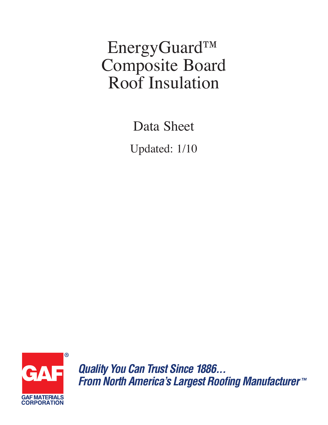# EnergyGuard™ Composite Board Roof Insulation

**Data Sheet** 

Updated: 1/10



**Quality You Can Trust Since 1886...** From North America's Largest Roofing Manufacturer<sup>™</sup>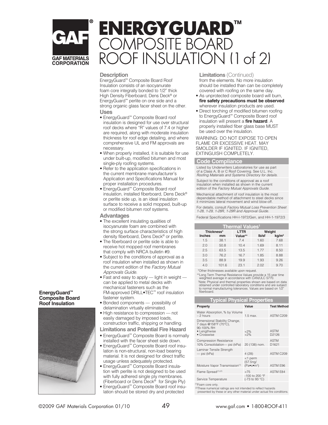### CAE **GAF MATERIALS CORPORATION**

## **ENERGYGUARD** OMPOSITF BOARD FINSULATION (1 of 2)

#### **Description**

EnergyGuard™ Composite Board Roof Insulation consists of an isocyanurate foam core integrally bonded to 1/2" thick High Density Fiberboard, Dens Deck® or EnergyGuard™ perlite on one side and a strong organic glass facer sheet on the other. **Uses** 

- EnergyGuard™ Composite Board roof insulation is designed for use over structural roof decks where "R" values of 7.4 or higher are required, along with moderate insulation thickness for roof edge detailing, and where comprehensive UL and FM approvals are necessary.
- . When properly installed, it is suitable for use under built-up, modified bitumen and most single-ply roofing systems.
- Refer to the application specifications in the current membrane manufacturer's Application and Specifications Manual for proper installation procedures.
- · EnergyGuard™ Composite Board roof insulation, installed fiberboard, Dens Deck® or perlite side up, is an ideal insulation surface to receive a solid mopped, built-up or modified bitumen roof systems.

**Advantages** 

- The excellent insulating qualities of isocyanurate foam are combined with the strong surface characteristics of high density fiberboard, Dens Deck® or perlite.
- . The fiberboard or perlite side is able to receive hot mopped roof membranes that comply with NRCA bulletin #9.
- Subject to the conditions of approval as a roof insulation when installed as shown in the current edition of the Factory Mutual Approvals Guide.
- . Fast and easy to apply light in weight can be applied to metal decks with mechanical fasteners such as the FM-approved DRILL. TEC<sup>™</sup> roof insulation fastener system.
- · Bonded components possibility of delamination virtually eliminated.
- · High resistance to compression not easily damaged by imposed loads, construction traffic, shipping or handling.
- **Limitations and Potential Fire Hazard**
- EnergyGuard™ Composite Board is normally installed with the facer sheet side down.
- · EnergyGuard™ Composite Board roof insulation is non-structural, non-load bearing material. It is not designed for direct traffic usage unless adequately protected.
- · EnergyGuard™ Composite Board insulation with perlite is not designed to be used with fully adhered single ply membranes. (Fiberboard or Dens Deck<sup>®</sup> for Single Plv)
- EnergyGuard™ Composite Board roof insulation should be stored dry and protected

#### **Limitations** (Continued)

from the elements. No more insulation should be installed than can be completely covered with roofing on the same day.

- As unprotected composite board will burn, fire safety precautions must be observed wherever insulation products are used.
- Direct torching of modified bitumen roofing to EnergyGuard™ Composite Board roof insulation will present a fire hazard. A properly installed fiber glass base MUST be used over the insulation.
- WARNING: DO NOT EXPOSE TO OPEN FLAME OR EXCESSIVE HEAT. MAY SMOLDER IF IGNITED. IF IGNITED, EXTINGUISH COMPLETELY.

#### **Code Compliance**

Listed by Underwriters Laboratories for use as part of a Class A, B or C Roof Covering. See U.L. Inc. Roofing Materials and Systems Directory for details.

Subject to the conditions of approval as a roof insulation when installed as shown in the current edition of the Factory Mutual Approvals Guide.

Mechanical attachment of roof insulation is the most dependable method of attachment to steel decks since it minimizes lateral movement and wind blow-off.

For details, consult Factory Mutual Loss Prevention Sheet 1-28, 1-29, 1-28R, 1-29R and Approval Guide.

Federal Specifications HH-I-1972/Gen, and HH-1-1972/3

| <b>Thermal Values<sup>1</sup></b> |       |                        |                                      |      |  |
|-----------------------------------|-------|------------------------|--------------------------------------|------|--|
| Thickness*<br><b>Inches</b><br>mm |       | <b>LTTR</b><br>Value** | Weight<br>lb/sf<br>kq/m <sup>2</sup> |      |  |
| 1.5                               | 38.1  | 7.4                    | 1.60                                 | 7.68 |  |
| 2.0                               | 50.8  | 10.4                   | 1.69                                 | 8.11 |  |
| 2.5                               | 63.5  | 13.5                   | 1.77                                 | 8.50 |  |
| 3.0                               | 76.2  | 16.7                   | 1.85                                 | 8.88 |  |
| 3.5                               | 88.9  | 19.9                   | 1.93                                 | 9.26 |  |
| 4.0                               | 101.6 | 23.1                   | 2.02                                 | 9.70 |  |
|                                   |       |                        |                                      |      |  |

\*Other thicknesses available upon request.

\*\*Long Term Thermal Resistance Values provide a 15 year time<br>weighted average in accordance with CAN/ULC S770. 'Note: Physical and thermal properties shown are based on data From the order controlled laboratory conditions and are subject<br>to normal manufacturing tolerances. Values are based on 1/2"<br>fiberboard.

| i ypicai Physical Properties                                                                        |                                                         |                                  |  |  |  |
|-----------------------------------------------------------------------------------------------------|---------------------------------------------------------|----------------------------------|--|--|--|
| Property                                                                                            | Value                                                   | <b>Test Method</b>               |  |  |  |
| Water Absorption, % by Volume<br>$-2$ hours                                                         | $1.5$ max.                                              | ASTM C209                        |  |  |  |
| Dimensional Stability Change,<br>7 days @158°F (70°C),<br>90-100% RH<br>• Lengthwise<br>• Crosswise | $<$ 2%<br>$<$ 2%                                        | <b>ASTM</b><br>D <sub>2126</sub> |  |  |  |
| <b>Compression Resistance</b><br>10% Consolidation- psi (kPa)                                       | 20 (138) nom.                                           | <b>ASTM</b><br>D <sub>1621</sub> |  |  |  |
| Laminar Tensile Strength<br>— psi (kPa)                                                             | 4(28)                                                   | ASTM C209                        |  |  |  |
| Moisture Vapor Transmission(1)                                                                      | <1 perm<br>$(57.5)$ ng/<br>$(Pa \bullet s \bullet m^2)$ | ASTM E96                         |  |  |  |
| Flame Spread <sup>(1),(2)</sup>                                                                     | < 75                                                    | <b>ASTM E84</b>                  |  |  |  |
| Service Temperature                                                                                 | -100 to 200 °F<br>(-73 to 93 °C)                        |                                  |  |  |  |
| $(1)$ Eggan gara anki                                                                               |                                                         |                                  |  |  |  |

These numerical ratings are not intended to reflect hazards presented by these or any other material under actual fire conditions.

#### EnergyGuard<sup>™</sup> **Composite Board Roof Insulation**